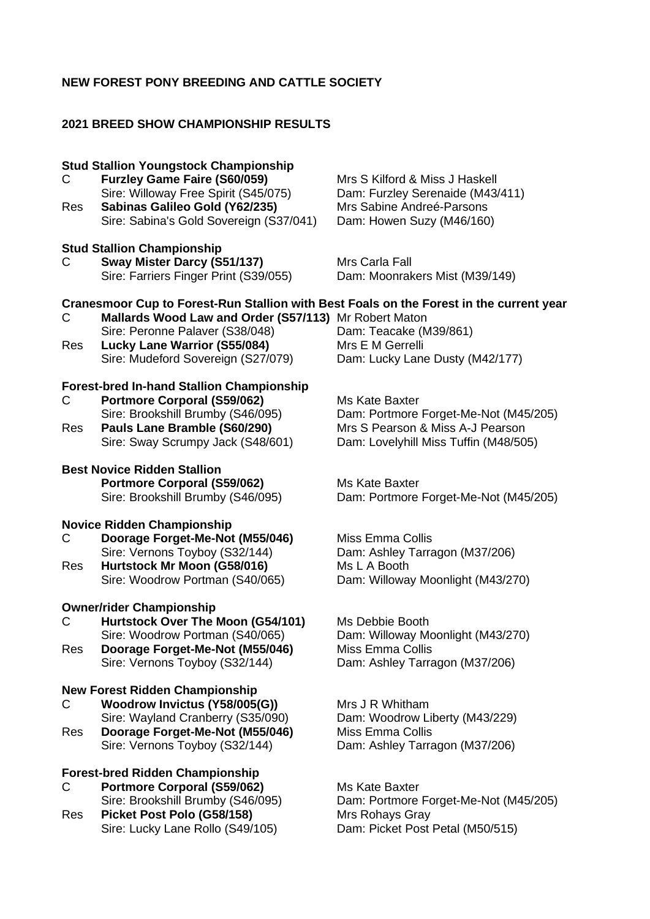# **NEW FOREST PONY BREEDING AND CATTLE SOCIETY**

# **2021 BREED SHOW CHAMPIONSHIP RESULTS**

| C<br>Res | <b>Stud Stallion Youngstock Championship</b><br><b>Furzley Game Faire (S60/059)</b><br>Sire: Willoway Free Spirit (S45/075)<br>Sabinas Galileo Gold (Y62/235)<br>Sire: Sabina's Gold Sovereign (S37/041)                                                  | Mrs S Kilford & Miss J Haskell<br>Dam: Furzley Serenaide (M43/411)<br>Mrs Sabine Andreé-Parsons<br>Dam: Howen Suzy (M46/160)         |
|----------|-----------------------------------------------------------------------------------------------------------------------------------------------------------------------------------------------------------------------------------------------------------|--------------------------------------------------------------------------------------------------------------------------------------|
| C        | <b>Stud Stallion Championship</b><br>Sway Mister Darcy (S51/137)<br>Sire: Farriers Finger Print (S39/055)                                                                                                                                                 | Mrs Carla Fall<br>Dam: Moonrakers Mist (M39/149)                                                                                     |
| С<br>Res | Cranesmoor Cup to Forest-Run Stallion with Best Foals on the Forest in the current year<br>Mallards Wood Law and Order (S57/113) Mr Robert Maton<br>Sire: Peronne Palaver (S38/048)<br>Lucky Lane Warrior (S55/084)<br>Sire: Mudeford Sovereign (S27/079) | Dam: Teacake (M39/861)<br>Mrs E M Gerrelli<br>Dam: Lucky Lane Dusty (M42/177)                                                        |
| С<br>Res | <b>Forest-bred In-hand Stallion Championship</b><br><b>Portmore Corporal (S59/062)</b><br>Sire: Brookshill Brumby (S46/095)<br>Pauls Lane Bramble (S60/290)<br>Sire: Sway Scrumpy Jack (S48/601)                                                          | Ms Kate Baxter<br>Dam: Portmore Forget-Me-Not (M45/205)<br>Mrs S Pearson & Miss A-J Pearson<br>Dam: Lovelyhill Miss Tuffin (M48/505) |
|          | <b>Best Novice Ridden Stallion</b><br><b>Portmore Corporal (S59/062)</b><br>Sire: Brookshill Brumby (S46/095)                                                                                                                                             | Ms Kate Baxter<br>Dam: Portmore Forget-Me-Not (M45/205)                                                                              |
| С<br>Res | <b>Novice Ridden Championship</b><br>Doorage Forget-Me-Not (M55/046)<br>Sire: Vernons Toyboy (S32/144)<br>Hurtstock Mr Moon (G58/016)<br>Sire: Woodrow Portman (S40/065)                                                                                  | <b>Miss Emma Collis</b><br>Dam: Ashley Tarragon (M37/206)<br>Ms L A Booth<br>Dam: Willoway Moonlight (M43/270)                       |
| C<br>Res | <b>Owner/rider Championship</b><br>Hurtstock Over The Moon (G54/101)<br>Sire: Woodrow Portman (S40/065)<br>Doorage Forget-Me-Not (M55/046)<br>Sire: Vernons Toyboy (S32/144)                                                                              | Ms Debbie Booth<br>Dam: Willoway Moonlight (M43/270)<br><b>Miss Emma Collis</b><br>Dam: Ashley Tarragon (M37/206)                    |
| С<br>Res | <b>New Forest Ridden Championship</b><br>Woodrow Invictus (Y58/005(G))<br>Sire: Wayland Cranberry (S35/090)<br>Doorage Forget-Me-Not (M55/046)<br>Sire: Vernons Toyboy (S32/144)                                                                          | Mrs J R Whitham<br>Dam: Woodrow Liberty (M43/229)<br><b>Miss Emma Collis</b><br>Dam: Ashley Tarragon (M37/206)                       |
| С<br>Res | <b>Forest-bred Ridden Championship</b><br><b>Portmore Corporal (S59/062)</b><br>Sire: Brookshill Brumby (S46/095)<br>Picket Post Polo (G58/158)                                                                                                           | Ms Kate Baxter<br>Dam: Portmore Forget-Me-Not (M45/205)<br>Mrs Rohays Gray                                                           |

Sire: Lucky Lane Rollo (S49/105) Dam: Picket Post Petal (M50/515)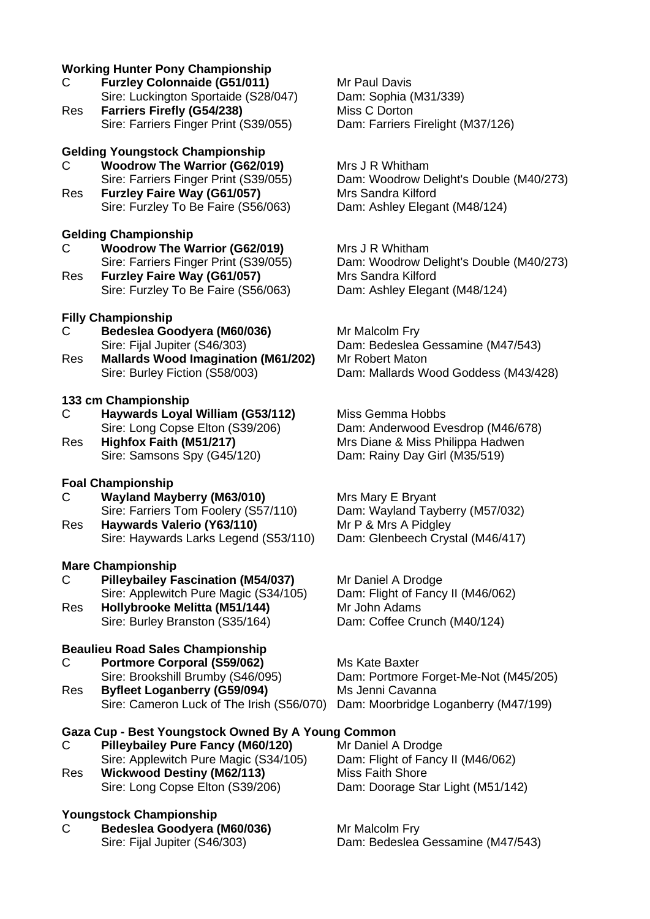# **Working Hunter Pony Championship**

- C **Furzley Colonnaide (G51/011)** Mr Paul Davis Sire: Luckington Sportaide (S28/047) Dam: Sophia (M31/339)
- Res **Farriers Firefly (G54/238)** Miss C Dorton Sire: Farriers Finger Print (S39/055) Dam: Farriers Firelight (M37/126)

# **Gelding Youngstock Championship**

- C **Woodrow The Warrior (G62/019)** Mrs J R Whitham
- Res **Furzley Faire Way (G61/057)** Mrs Sandra Kilford Sire: Furzley To Be Faire (S56/063) Dam: Ashley Elegant (M48/124)

### **Gelding Championship**

- C **Woodrow The Warrior (G62/019)** Mrs J R Whitham
- Res **Furzley Faire Way (G61/057)** Mrs Sandra Kilford Sire: Furzley To Be Faire (S56/063) Dam: Ashley Elegant (M48/124)

# **Filly Championship**

- C **Bedeslea Goodyera (M60/036)** Mr Malcolm Fry
- Res **Mallards Wood Imagination (M61/202)** Mr Robert Maton

### **133 cm Championship**

- C **Haywards Loyal William (G53/112)** Miss Gemma Hobbs
- 

### **Foal Championship**

- C **Wayland Mayberry (M63/010)** Mrs Mary E Bryant Sire: Farriers Tom Foolery (S57/110)
- Res **Haywards Valerio (Y63/110)** Mr P & Mrs A Pidgley Sire: Haywards Larks Legend (S53/110) Dam: Glenbeech Crystal (M46/417)

### **Mare Championship**

C **Pilleybailey Fascination (M54/037)** Mr Daniel A Drodge Sire: Applewitch Pure Magic (S34/105) Dam: Flight of Fancy II (M46/062) Res **Hollybrooke Melitta (M51/144)** Mr John Adams

Sire: Burley Branston (S35/164) Dam: Coffee Crunch (M40/124)

# **Beaulieu Road Sales Championship**

- C **Portmore Corporal (S59/062)** Ms Kate Baxter
- Res **Byfleet Loganberry (G59/094)** Ms Jenni Cavanna Sire: Cameron Luck of The Irish (S56/070) Dam: Moorbridge Loganberry (M47/199)

# **Gaza Cup - Best Youngstock Owned By A Young Common**

- C Pilleybailey Pure Fancy (M60/120) Sire: Applewitch Pure Magic (S34/105) Dam: Flight of Fancy II (M46/062)
- Res **Wickwood Destiny (M62/113)** Miss Faith Shore

# **Youngstock Championship**

C **Bedeslea Goodyera (M60/036)** Mr Malcolm Fry

Sire: Farriers Finger Print (S39/055) Dam: Woodrow Delight's Double (M40/273)

Sire: Farriers Finger Print (S39/055) Dam: Woodrow Delight's Double (M40/273)

Sire: Fijal Jupiter (S46/303) Dam: Bedeslea Gessamine (M47/543) Sire: Burley Fiction (S58/003) Dam: Mallards Wood Goddess (M43/428)

Sire: Long Copse Elton (S39/206) Dam: Anderwood Evesdrop (M46/678) Res **Highfox Faith (M51/217)** Mrs Diane & Miss Philippa Hadwen Sire: Samsons Spy (G45/120) Dam: Rainy Day Girl (M35/519)

Sire: Brookshill Brumby (S46/095) Dam: Portmore Forget-Me-Not (M45/205)

Sire: Long Copse Elton (S39/206) Dam: Doorage Star Light (M51/142)

Sire: Fijal Jupiter (S46/303) Dam: Bedeslea Gessamine (M47/543)